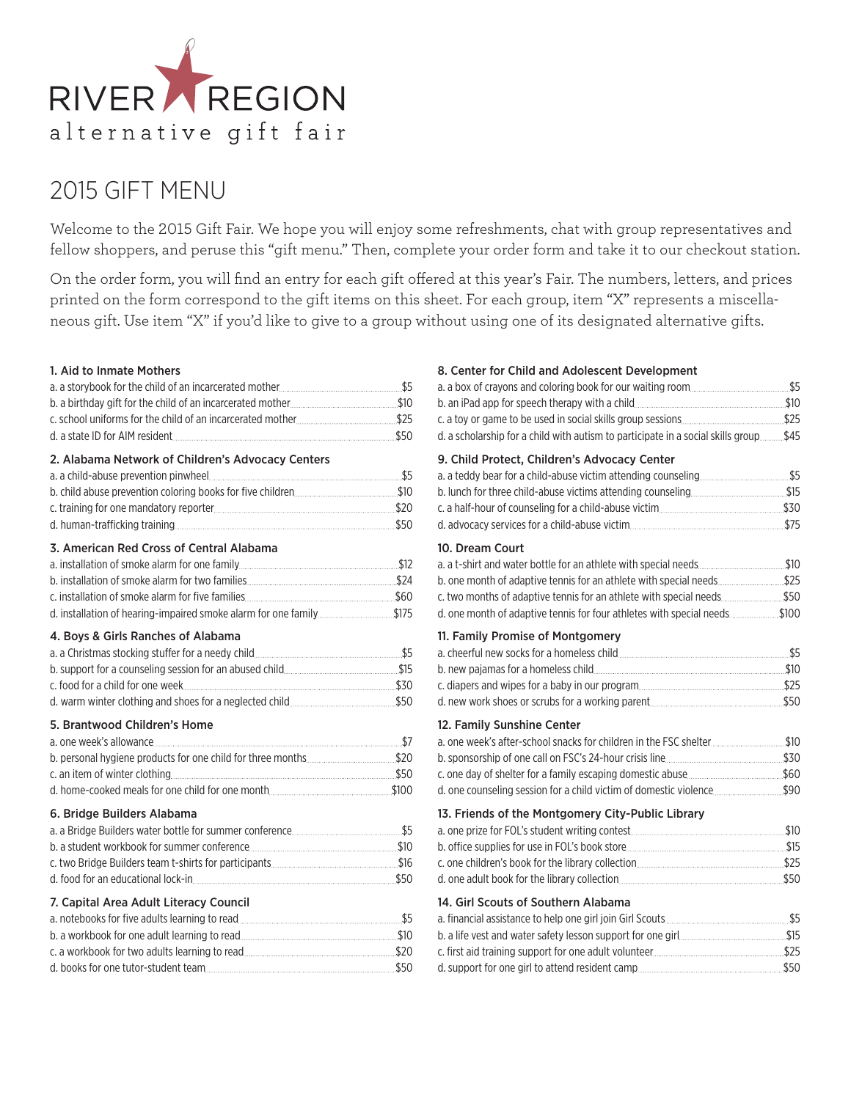

# 2015 GIFT MENU

Welcome to the 2015 Gift Fair. We hope you will enjoy some refreshments, chat with group representatives and fellow shoppers, and peruse this "gift menu." Then, complete your order form and take it to our checkout station.

On the order form, you will find an entry for each gift offered at this year's Fair. The numbers, letters, and prices printed on the form correspond to the gift items on this sheet. For each group, item "X" represents a miscellaneous gift. Use item "X" if you'd like to give to a group without using one of its designated alternative gifts.

#### 1. Aid to Inmate Mothers

| 2. Alabama Network of Children's Advocacy Centers           |  |
|-------------------------------------------------------------|--|
|                                                             |  |
|                                                             |  |
|                                                             |  |
|                                                             |  |
| 3. American Red Cross of Central Alabama                    |  |
|                                                             |  |
| b. installation of smoke alarm for two families             |  |
|                                                             |  |
|                                                             |  |
| 4. Boys & Girls Ranches of Alabama                          |  |
|                                                             |  |
|                                                             |  |
|                                                             |  |
|                                                             |  |
| 5. Brantwood Children's Home                                |  |
|                                                             |  |
| b. personal hygiene products for one child for three months |  |
|                                                             |  |
|                                                             |  |
| 6. Bridge Builders Alabama                                  |  |
|                                                             |  |
|                                                             |  |
|                                                             |  |
| d. food for an educational lock-in 550                      |  |
| 7. Capital Area Adult Literacy Council                      |  |
|                                                             |  |
|                                                             |  |
|                                                             |  |

d. books for one tutor-student team **\$50** 

# 8. Center for Child and Adolescent Development

| d. a scholarship for a child with autism to participate in a social skills group \$45                                                                                                                                                           |  |
|-------------------------------------------------------------------------------------------------------------------------------------------------------------------------------------------------------------------------------------------------|--|
| 9. Child Protect, Children's Advocacy Center<br>d. advocacy services for a child-abuse victim [11] will continue that the services services for a child-abuse victim                                                                            |  |
| 10. Dream Court<br>b. one month of adaptive tennis for an athlete with special needs\$25<br>c. two months of adaptive tennis for an athlete with special needs\$50<br>d. one month of adaptive tennis for four athletes with special needs\$100 |  |
| 11. Family Promise of Montgomery                                                                                                                                                                                                                |  |
| 12. Family Sunshine Center<br>a. one week's after-school snacks for children in the FSC shelter [100] 510                                                                                                                                       |  |
| 13. Friends of the Montgomery City-Public Library                                                                                                                                                                                               |  |
| 14. Girl Scouts of Southern Alabama                                                                                                                                                                                                             |  |